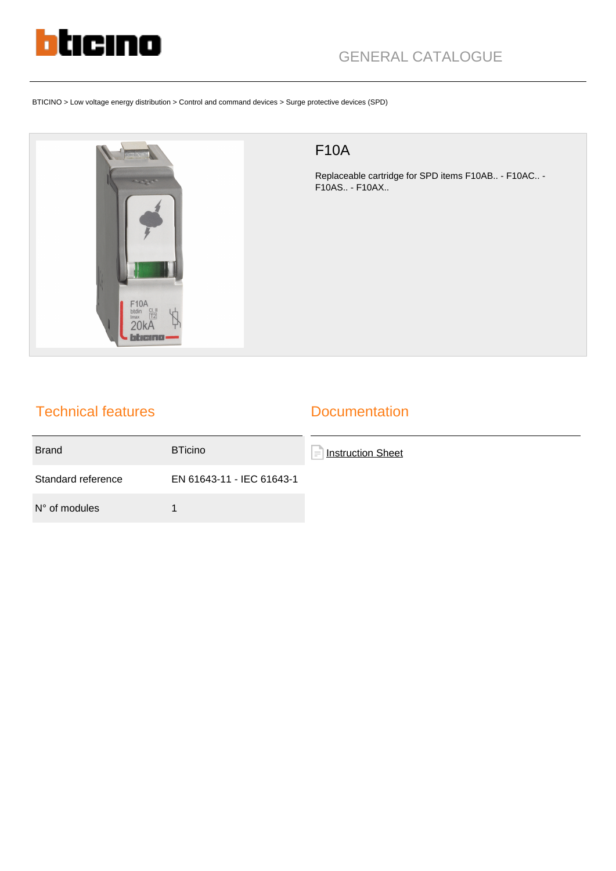

BTICINO > Low voltage energy distribution > Control and command devices > Surge protective devices (SPD)



## F10A

Replaceable cartridge for SPD items F10AB.. - F10AC.. - F10AS.. - F10AX..

## Technical features

## **Documentation**

| <b>Brand</b>           | <b>BTicino</b>            | Instruction Sheet<br>i — |
|------------------------|---------------------------|--------------------------|
| Standard reference     | EN 61643-11 - IEC 61643-1 |                          |
| $N^{\circ}$ of modules |                           |                          |